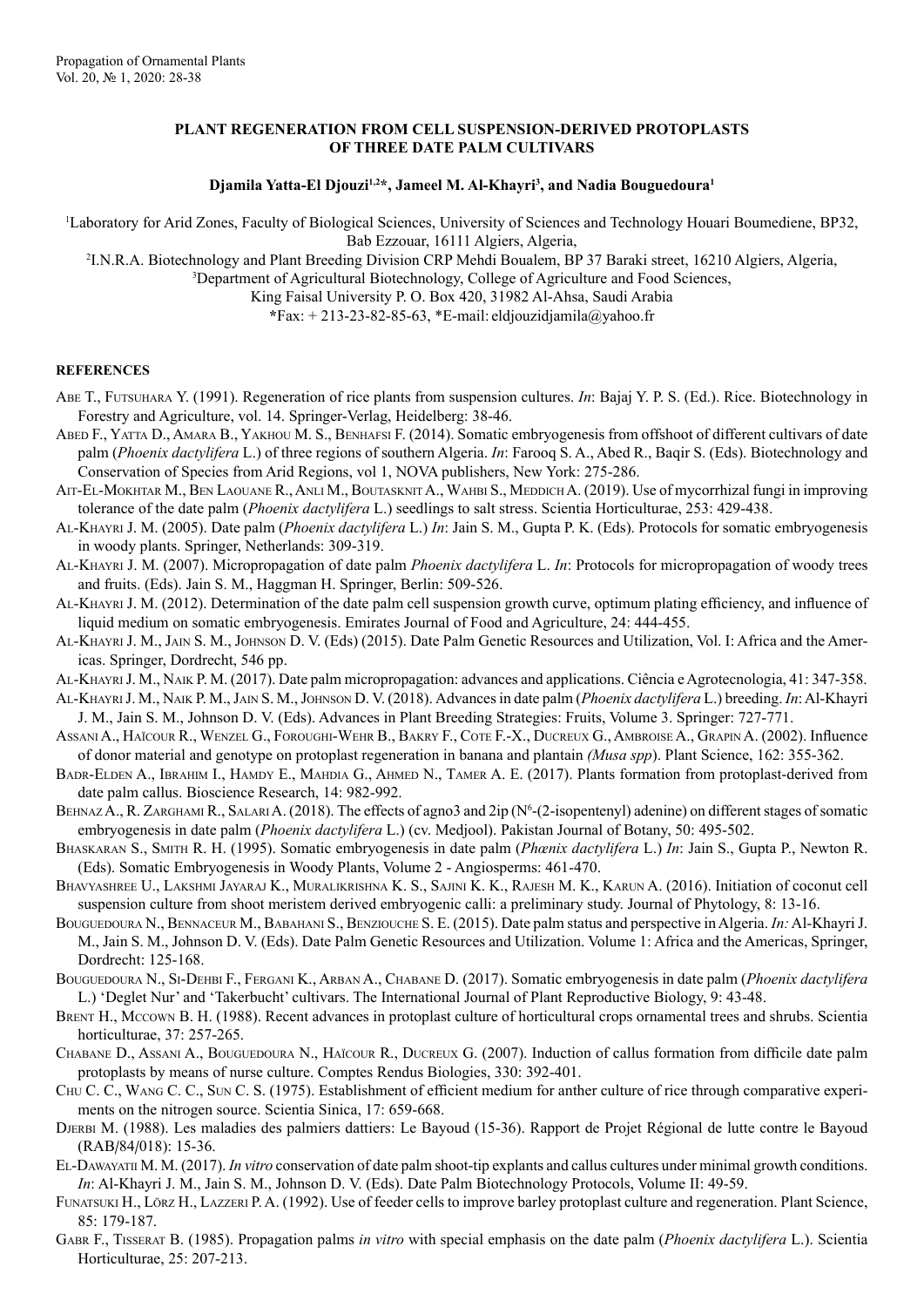## **PLANT REGENERATION FROM CELL SUSPENSION-DERIVED PROTOPLASTS OF THREE DATE PALM CULTIVARS**

## **Djamila Yatta-El Djouzi1,2\*, Jameel M. Al-Khayri3 , and Nadia Bouguedoura1**

1 Laboratory for Arid Zones, Faculty of Biological Sciences, University of Sciences and Technology Houari Boumediene, BP32, Bab Ezzouar, 16111 Algiers, Algeria,

2 I.N.R.A. Biotechnology and Plant Breeding Division CRP Mehdi Boualem, BP 37 Baraki street, 16210 Algiers, Algeria, 3 Department of Agricultural Biotechnology, College of Agriculture and Food Sciences,

King Faisal University P. O. Box 420, 31982 Al-Ahsa, Saudi Arabia

**\***Fax: + 213-23-82-85-63, \*E-mail: eldjouzidjamila@yahoo.fr

## **REFERENCES**

- Abe T., Futsuhara Y. (1991). Regeneration of rice plants from suspension cultures. *In*: Bajaj Y. P. S. (Ed.). Rice. Biotechnology in Forestry and Agriculture, vol. 14. Springer-Verlag, Heidelberg: 38-46.
- ABED F., YATTA D., AMARA B., YAKHOU M. S., BENHAFSI F. (2014). Somatic embryogenesis from offshoot of different cultivars of date palm (*Phoenix dactylifera* L.) of three regions of southern Algeria. *In*: Farooq S. A., Abed R., Baqir S. (Eds). Biotechnology and Conservation of Species from Arid Regions, vol 1, NOVA publishers, New York: 275-286.
- AIT-EL-MOKHTAR M., BEN LAOUANE R., ANLI M., BOUTASKNIT A., WAHBI S., MEDDICH A. (2019). Use of mycorrhizal fungi in improving tolerance of the date palm (*Phoenix dactylifera* L.) seedlings to salt stress. Scientia Horticulturae, 253: 429-438.
- Al-Khayri J. M. (2005). Date palm (*Phoenix dactylifera* L.) *In*: Jain S. M., Gupta P. K. (Eds). Protocols for somatic embryogenesis in woody plants. Springer, Netherlands: 309-319.
- Al-Khayri J. M. (2007). Micropropagation of date palm *Phoenix dactylifera* L. *In*: Protocols for micropropagation of woody trees and fruits. (Eds). Jain S. M., Haggman H. Springer, Berlin: 509-526.
- Al-Khayri J. M. (2012). Determination of the date palm cell suspension growth curve, optimum plating efficiency, and influence of liquid medium on somatic embryogenesis. Emirates Journal of Food and Agriculture, 24: 444-455.
- AL-KHAYRI J. M., JAIN S. M., JOHNSON D. V. (Eds) (2015). Date Palm Genetic Resources and Utilization, Vol. I: Africa and the Americas. Springer, Dordrecht, 546 pp.
- Al-Khayri J. M., Naik P. M. (2017). Date palm micropropagation: advances and applications. Ciência e Agrotecnologia, 41: 347-358.
- Al-Khayri J. M., Naik P. M., Jain S. M., Johnson D. V. (2018). Advances in date palm (*Phoenix dactylifera* L.) breeding. *In*: Al-Khayri J. M., Jain S. M., Johnson D. V. (Eds). Advances in Plant Breeding Strategies: Fruits, Volume 3. Springer: 727-771.
- Assani A., Haïcour R., Wenzel G., Foroughi-Wehr B., Bakry F., Cote F.-X., Ducreux G., Ambroise A., Grapin A. (2002). Influence of donor material and genotype on protoplast regeneration in banana and plantain *(Musa spp*). Plant Science, 162: 355-362.
- BADR-ELDEN A., IBRAHIM I., HAMDY E., MAHDIA G., AHMED N., TAMER A. E. (2017). Plants formation from protoplast-derived from date palm callus. Bioscience Research, 14: 982-992.
- BEHNAZ A., R. ZARGHAMI R., SALARI A. (2018). The effects of agno3 and 2ip (N<sup>6</sup>-(2-isopentenyl) adenine) on different stages of somatic embryogenesis in date palm (*Phoenix dactylifera* L.) (cv. Medjool). Pakistan Journal of Botany, 50: 495-502.
- Bhaskaran S., Smith R. H. (1995). Somatic embryogenesis in date palm (*Phœnix dactylifera* L.) *In*: Jain S., Gupta P., Newton R. (Eds). Somatic Embryogenesis in Woody Plants, Volume 2 - Angiosperms: 461-470.
- Bhavyashree U., Lakshmi Jayaraj K., Muralikrishna K. S., Sajini K. K., Rajesh M. K., Karun A. (2016). Initiation of coconut cell suspension culture from shoot meristem derived embryogenic calli: a preliminary study. Journal of Phytology, 8: 13-16.
- BOUGUEDOURA N., BENNACEUR M., BABAHANI S., BENZIOUCHE S. E. (2015). Date palm status and perspective in Algeria. *In:* Al-Khayri J. M., Jain S. M., Johnson D. V. (Eds). Date Palm Genetic Resources and Utilization. Volume 1: Africa and the Americas, Springer, Dordrecht: 125-168.
- Bouguedoura N., Si-Dehbi F., Fergani K., Arban A., Chabane D. (2017). Somatic embryogenesis in date palm (*Phoenix dactylifera* L.) 'Deglet Nur' and 'Takerbucht' cultivars. The International Journal of Plant Reproductive Biology, 9: 43-48.
- Brent H., Mccown B. H. (1988). Recent advances in protoplast culture of horticultural crops ornamental trees and shrubs. Scientia horticulturae, 37: 257-265.
- CHABANE D., ASSANI A., BOUGUEDOURA N., HAÏCOUR R., DUCREUX G. (2007). Induction of callus formation from difficile date palm protoplasts by means of nurse culture. Comptes Rendus Biologies, 330: 392-401.
- Chu C. C., Wang C. C., Sun C. S. (1975). Establishment of efficient medium for anther culture of rice through comparative experiments on the nitrogen source. Scientia Sinica, 17: 659-668.
- Djerbi M. (1988). Les maladies des palmiers dattiers: Le Bayoud (15-36). Rapport de Projet Régional de lutte contre le Bayoud (RAB/84/018): 15-36.
- El-Dawayatii M. M. (2017). *In vitro* conservation of date palm shoot-tip explants and callus cultures under minimal growth conditions. *In*: Al-Khayri J. M., Jain S. M., Johnson D. V. (Eds). Date Palm Biotechnology Protocols, Volume II: 49-59.
- Funatsuki H., Lörz H., Lazzeri P. A. (1992). Use of feeder cells to improve barley protoplast culture and regeneration. Plant Science, 85: 179-187.
- Gabr F., Tisserat B. (1985). Propagation palms *in vitro* with special emphasis on the date palm (*Phoenix dactylifera* L.). Scientia Horticulturae, 25: 207-213.